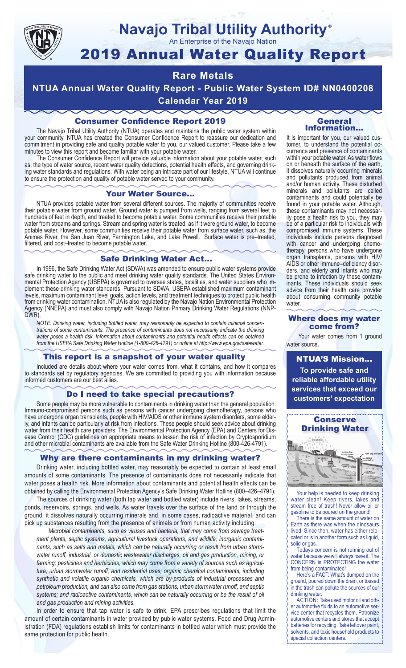

## **Navajo Tribal Utility Authority** ®

An Enterprise of the Navajo Nation

# 2019 Annual Water Quality Report

# **Rare Metals**

**NTUA Annual Water Quality Report - Public Water System ID# NN0400208 Calendar Year 2019**

## Consumer Confidence Report 2019

The Navajo Tribal Utility Authority (NTUA) operates and maintains the public water system within your community. NTUA has created the Consumer Confidence Report to reassure our dedication and commitment in providing safe and quality potable water to you, our valued customer. Please take a few minutes to view this report and become familiar with your potable water.

The Consumer Confidence Report will provide valuable information about your potable water, such as, the type of water source, recent water quality detections, potential health effects, and governing drinking water standards and regulations. With water being an intricate part of our lifestyle, NTUA will continue to ensure the protection and quality of potable water served to your community.

#### Your Water Source…

NTUA provides potable water from several different sources. The majority of communities receive their potable water from ground water. Ground water is pumped from wells, ranging from several feet to hundreds of feet in depth, and treated to become potable water. Some communities receive their potable water from streams and springs. Stream and spring water is treated, as if it were ground water, to become potable water. However, some communities receive their potable water from surface water, such as, the Animas River, the San Juan River, Farmington Lake, and Lake Powell. Surface water is pre–treated, filtered, and post–treated to become potable water.

#### Safe Drinking Water Act…

In 1996, the Safe Drinking Water Act (SDWA) was amended to ensure public water systems provide safe drinking water to the public and meet drinking water quality standards. The United States Environmental Protection Agency (USEPA) is governed to oversee states, localities, and water suppliers who implement these drinking water standards. Pursuant to SDWA, USEPA established maximum contaminant levels, maximum contaminant level goals, action levels, and treatment techniques to protect public health from drinking water contamination. NTUA is also regulated by the Navajo Nation Environmental Protection Agency (NNEPA) and must also comply with Navajo Nation Primary Drinking Water Regulations (NNP-DWR)

*NOTE: Drinking water, including bottled water, may reasonably be expected to contain minimal concentrations of some contaminants. The presence of contaminants does not necessarily indicate the drinking water poses a health risk. Information about contaminants and potential health effects can be obtained from the USEPA Safe Drinking Water Hotline (1-800-426-4791) or online at http://www.epa.gov/safewater.*

### This report is a snapshot of your water quality

Included are details about where your water comes from, what it contains, and how it compares to standards set by regulatory agencies. We are committed to providing you with information because informed customers are our best allies.

#### Do I need to take special precautions?

Some people may be more vulnerable to contaminants in drinking water than the general population. Immuno-compromised persons such as persons with cancer undergoing chemotherapy, persons who have undergone organ transplants, people with HIV/AIDS or other immune system disorders, some elderly, and infants can be particularly at risk from infections. These people should seek advice about drinking water from their health care providers. The Environmental Protection Agency (EPA) and Centers for Disease Control (CDC) guidelines on appropriate means to lessen the risk of infection by Cryptosporidium and other microbial contaminants are available from the Safe Water Drinking Hotline (800-426-4791).

### Why are there contaminants in my drinking water?

Drinking water, including bottled water, may reasonably be expected to contain at least small amounts of some contaminants. The presence of contaminants does not necessarily indicate that water poses a health risk. More information about contaminants and potential health effects can be obtained by calling the Environmental Protection Agency's Safe Drinking Water Hotline (800–426–4791).

The sources of drinking water (both tap water and bottled water) include rivers, lakes, streams, ponds, reservoirs, springs, and wells. As water travels over the surface of the land or through the ground, it dissolves naturally occurring minerals and, in some cases, radioactive material, and can pick up substances resulting from the presence of animals or from human activity including:

*Microbial contaminants, such as viruses and bacteria, that may come from sewage treatment plants, septic systems, agricultural livestock operations, and wildlife; inorganic contaminants, such as salts and metals, which can be naturally occurring or result from urban stormwater runoff, industrial, or domestic wastewater discharges, oil and gas production, mining, or farming; pesticides and herbicides, which may come from a variety of sources such as agriculture, urban stormwater runoff, and residential uses; organic chemical contaminants, including synthetic and volatile organic chemicals, which are by-products of industrial processes and petroleum production, and can also come from gas stations, urban stormwater runoff, and septic systems; and radioactive contaminants, which can be naturally occurring or be the result of oil and gas production and mining activities.*

In order to ensure that tap water is safe to drink, EPA prescribes regulations that limit the amount of certain contaminants in water provided by public water systems. Food and Drug Administration (FDA) regulations establish limits for contaminants in bottled water which must provide the same protection for public health.

#### General Information…

It is important for you, our valued customer, to understand the potential occurrence and presence of contaminants within your potable water. As water flows on or beneath the surface of the earth, it dissolves naturally occurring minerals and pollutants produced from animal and/or human activity. These disturbed minerals and pollutants are called contaminants and could potentially be found in your potable water. Although, these contaminants may not necessarily pose a health risk to you, they may be of a particular risk to individuals with compromised immune systems. These individuals include persons diagnosed with cancer and undergoing chemo-<br>therapy, persons who have undergone organ transplants, persons with HIV/ AIDS or other immune–deficiency disor- ders, and elderly and infants who may be prone to infection by these contam- inants. These individuals should seek advice from their health care provider about consuming community potable water.

#### Where does my water come from?

Your water comes from 1 ground water source.

NTUA'S Mission... **To provide safe and reliable affordable utility services that exceed our customers' expectation**



Your help is needed to keep drinking water clean! Keep rivers, lakes and stream free of trash! Never allow oil or gasoline to be poured on the ground!

There is the same amount of water on Earth as there was when the dinosaurs lived. Since then, water has either relocated or is in another form such as liquid, solid or gas.

Todays concern is not running out of water because we will always have it. The CONCERN is PROTECTING the water from being contaminated!

Here's a FACT: What's dumped on the ground, poured down the drain, or tossed in the trash can pollute the sources of our drinking water.

ACTION: Take used motor oil and other automotive fluids to an automotive service center that recycles them. Patronize automotive centers and stores that accept batteries for recycling. Take leftover paint, solvents, and toxic household products to special collection centers.